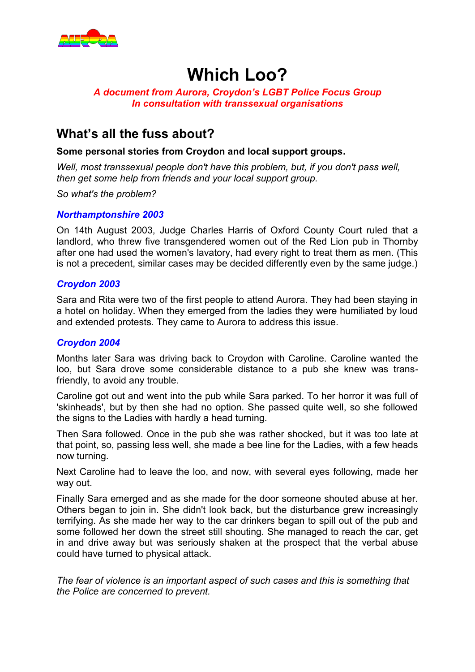

# **Which Loo?**

### *A document from Aurora, Croydon's LGBT Police Focus Group In consultation with transsexual organisations*

### **What's all the fuss about?**

### **Some personal stories from Croydon and local support groups.**

*Well, most transsexual people don't have this problem, but, if you don't pass well, then get some help from friends and your local support group.*

*So what's the problem?*

### *Northamptonshire 2003*

On 14th August 2003, Judge Charles Harris of Oxford County Court ruled that a landlord, who threw five transgendered women out of the Red Lion pub in Thornby after one had used the women's lavatory, had every right to treat them as men. (This is not a precedent, similar cases may be decided differently even by the same judge.)

### *Croydon 2003*

Sara and Rita were two of the first people to attend Aurora. They had been staying in a hotel on holiday. When they emerged from the ladies they were humiliated by loud and extended protests. They came to Aurora to address this issue.

### *Croydon 2004*

Months later Sara was driving back to Croydon with Caroline. Caroline wanted the loo, but Sara drove some considerable distance to a pub she knew was transfriendly, to avoid any trouble.

Caroline got out and went into the pub while Sara parked. To her horror it was full of 'skinheads', but by then she had no option. She passed quite well, so she followed the signs to the Ladies with hardly a head turning.

Then Sara followed. Once in the pub she was rather shocked, but it was too late at that point, so, passing less well, she made a bee line for the Ladies, with a few heads now turning.

Next Caroline had to leave the loo, and now, with several eyes following, made her way out.

Finally Sara emerged and as she made for the door someone shouted abuse at her. Others began to join in. She didn't look back, but the disturbance grew increasingly terrifying. As she made her way to the car drinkers began to spill out of the pub and some followed her down the street still shouting. She managed to reach the car, get in and drive away but was seriously shaken at the prospect that the verbal abuse could have turned to physical attack.

*The fear of violence is an important aspect of such cases and this is something that the Police are concerned to prevent.*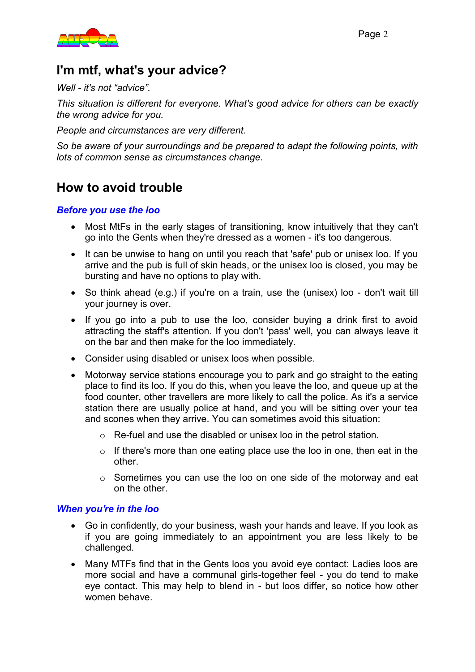

# **I'm mtf, what's your advice?**

*Well - it's not "advice".*

*This situation is different for everyone. What's good advice for others can be exactly the wrong advice for you.*

*People and circumstances are very different.*

*So be aware of your surroundings and be prepared to adapt the following points, with lots of common sense as circumstances change.*

## **How to avoid trouble**

### *Before you use the loo*

- Most MtFs in the early stages of transitioning, know intuitively that they can't go into the Gents when they're dressed as a women - it's too dangerous.
- It can be unwise to hang on until you reach that 'safe' pub or unisex loo. If you arrive and the pub is full of skin heads, or the unisex loo is closed, you may be bursting and have no options to play with.
- So think ahead (e.g.) if you're on a train, use the (unisex) loo don't wait till your journey is over.
- If you go into a pub to use the loo, consider buying a drink first to avoid attracting the staff's attention. If you don't 'pass' well, you can always leave it on the bar and then make for the loo immediately.
- Consider using disabled or unisex loos when possible.
- Motorway service stations encourage you to park and go straight to the eating place to find its loo. If you do this, when you leave the loo, and queue up at the food counter, other travellers are more likely to call the police. As it's a service station there are usually police at hand, and you will be sitting over your tea and scones when they arrive. You can sometimes avoid this situation:
	- o Re-fuel and use the disabled or unisex loo in the petrol station.
	- $\circ$  If there's more than one eating place use the loo in one, then eat in the other.
	- o Sometimes you can use the loo on one side of the motorway and eat on the other.

#### *When you're in the loo*

- Go in confidently, do your business, wash your hands and leave. If you look as if you are going immediately to an appointment you are less likely to be challenged.
- Many MTFs find that in the Gents loos you avoid eye contact: Ladies loos are more social and have a communal girls-together feel - you do tend to make eye contact. This may help to blend in - but loos differ, so notice how other women behave.